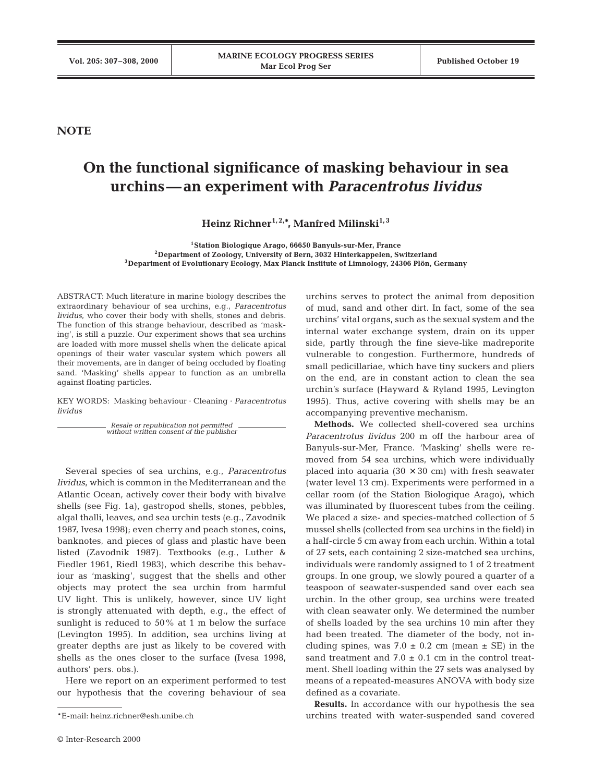**NOTE**

## **On the functional significance of masking behaviour in sea urchins—an experiment with** *Paracentrotus lividus*

Heinz Richner<sup>1, 2,\*</sup>, Manfred Milinski<sup>1,3</sup>

**1Station Biologique Arago, 66650 Banyuls-sur-Mer, France 2Department of Zoology, University of Bern, 3032 Hinterkappelen, Switzerland 3Department of Evolutionary Ecology, Max Planck Institute of Limnology, 24306 Plön, Germany**

ABSTRACT: Much literature in marine biology describes the extraordinary behaviour of sea urchins, e.g., *Paracentrotus lividus*, who cover their body with shells, stones and debris. The function of this strange behaviour, described as 'masking', is still a puzzle. Our experiment shows that sea urchins are loaded with more mussel shells when the delicate apical openings of their water vascular system which powers all their movements, are in danger of being occluded by floating sand. 'Masking' shells appear to function as an umbrella against floating particles.

KEY WORDS: Masking behaviour · Cleaning · *Paracentrotus lividus*

> *Resale or republication not permitted without written consent of the publisher*

Several species of sea urchins, e.g., *Paracentrotus lividus*, which is common in the Mediterranean and the Atlantic Ocean, actively cover their body with bivalve shells (see Fig. 1a), gastropod shells, stones, pebbles, algal thalli, leaves, and sea urchin tests (e.g., Zavodnik 1987, Ivesa 1998); even cherry and peach stones, coins, banknotes, and pieces of glass and plastic have been listed (Zavodnik 1987). Textbooks (e.g., Luther & Fiedler 1961, Riedl 1983), which describe this behaviour as 'masking', suggest that the shells and other objects may protect the sea urchin from harmful UV light. This is unlikely, however, since UV light is strongly attenuated with depth, e.g., the effect of sunlight is reduced to 50% at 1 m below the surface (Levington 1995). In addition, sea urchins living at greater depths are just as likely to be covered with shells as the ones closer to the surface (Ivesa 1998, authors' pers. obs.).

Here we report on an experiment performed to test our hypothesis that the covering behaviour of sea urchins serves to protect the animal from deposition of mud, sand and other dirt. In fact, some of the sea urchins' vital organs, such as the sexual system and the internal water exchange system, drain on its upper side, partly through the fine sieve-like madreporite vulnerable to congestion. Furthermore, hundreds of small pedicillariae, which have tiny suckers and pliers on the end, are in constant action to clean the sea urchin's surface (Hayward & Ryland 1995, Levington 1995). Thus, active covering with shells may be an accompanying preventive mechanism.

**Methods.** We collected shell-covered sea urchins *Paracentrotus lividus* 200 m off the harbour area of Banyuls-sur-Mer, France. 'Masking' shells were removed from 54 sea urchins, which were individually placed into aquaria  $(30 \times 30 \text{ cm})$  with fresh seawater (water level 13 cm). Experiments were performed in a cellar room (of the Station Biologique Arago), which was illuminated by fluorescent tubes from the ceiling. We placed a size- and species-matched collection of 5 mussel shells (collected from sea urchins in the field) in a half-circle 5 cm away from each urchin. Within a total of 27 sets, each containing 2 size-matched sea urchins, individuals were randomly assigned to 1 of 2 treatment groups. In one group, we slowly poured a quarter of a teaspoon of seawater-suspended sand over each sea urchin. In the other group, sea urchins were treated with clean seawater only. We determined the number of shells loaded by the sea urchins 10 min after they had been treated. The diameter of the body, not including spines, was  $7.0 \pm 0.2$  cm (mean  $\pm$  SE) in the sand treatment and  $7.0 \pm 0.1$  cm in the control treatment. Shell loading within the 27 sets was analysed by means of a repeated-measures ANOVA with body size defined as a covariate.

**Results.** In accordance with our hypothesis the sea urchins treated with water-suspended sand covered

<sup>\*</sup>E-mail: heinz.richner@esh.unibe.ch